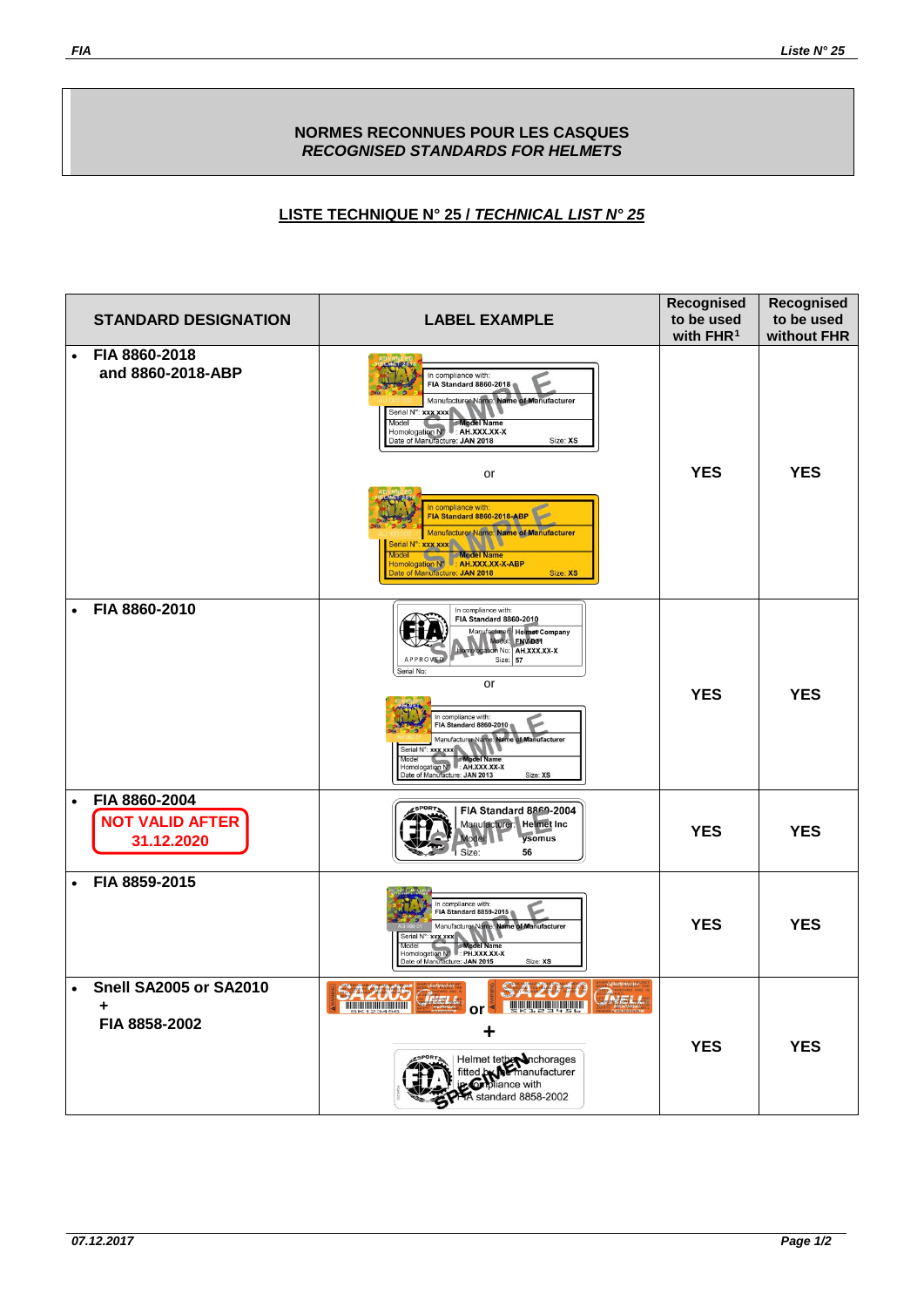## **NORMES RECONNUES POUR LES CASQUES** *RECOGNISED STANDARDS FOR HELMETS*

## *<sup>U</sup>***LISTE TECHNIQUE N° 25 /** *TECHNICAL LIST N° 25*

| <b>STANDARD DESIGNATION</b>                                        | <b>LABEL EXAMPLE</b>                                                                                                                                                                                                                                                                                                                                                                                                                                                | Recognised<br>to be used<br>with $FHR1$ | Recognised<br>to be used<br>without FHR |
|--------------------------------------------------------------------|---------------------------------------------------------------------------------------------------------------------------------------------------------------------------------------------------------------------------------------------------------------------------------------------------------------------------------------------------------------------------------------------------------------------------------------------------------------------|-----------------------------------------|-----------------------------------------|
| FIA 8860-2018<br>$\bullet$<br>and 8860-2018-ABP                    | In compliance with:<br>FIA Standard 8860-2018<br>Manufacturer Name: Name of Manufacturer<br>Serial N°: xxx xxx<br><b>Model Name</b><br>Model<br>Homologation Nº : AH.XXX.XX-X<br>Date of Manufacture: JAN 2018<br>Size: XS<br>or<br>In compliance with:<br>FIA Standard 8860-2018-ABP<br><b>Manufacturer Name: Name of Manufacturer</b><br>Serial N°: xxx xxx<br>Model Model Name<br>Homologation Nº : AH.XXX.XX-X-ABP<br>Date of Manufacture: JAN 2018<br>Size: XS | <b>YES</b>                              | <b>YES</b>                              |
| FIA 8860-2010<br>$\bullet$                                         | In compliance with:<br><b>FIA Standard 8860-2010</b><br>Manufacturer: Helmet Company<br>Model: ENV-D31<br>bgation No: AH.XXX.XX-X<br>Size: 57<br><b>APPROVIES</b><br>Serial No:<br>or<br>In compliance with:<br><b>FIA Standard 8860-2010</b><br>Manufacturer Name: Name of Manufacturer<br>Serial N°: xxx xxx<br>Model<br><b>Model Name</b><br>Model Name<br>Homologation N <sup>®</sup> : AH.XXX.XX-X<br>Date of Manufacture: JAN 2013<br>Size: XS                | <b>YES</b>                              | <b>YES</b>                              |
| FIA 8860-2004<br>$\bullet$<br><b>NOT VALID AFTER</b><br>31.12.2020 | FIA Standard 8869-2004<br>Manufacturer: Helmet Inc<br>ysomus<br>Model:<br>Size:<br>56                                                                                                                                                                                                                                                                                                                                                                               | <b>YES</b>                              | <b>YES</b>                              |
| FIA 8859-2015<br>$\bullet$                                         | In compliance with:<br>FIA Standard 8859-2015<br>Manufacturer Name: Name of Manufacturer<br>Serial N°: xxx xxx<br>Model<br>Model Name<br>Model Name<br>Homologation N <sup>9</sup> : PH.XXX.XX-X<br>Date of Manufacture: JAN 2015<br>Size: XS                                                                                                                                                                                                                       | <b>YES</b>                              | <b>YES</b>                              |
| • Snell SA2005 or SA2010<br>٠<br>FIA 8858-2002                     | CADH0<br><b>CERTIFIED BY</b><br>SA2005 Grau<br><b>TELEVISION AND ANN</b><br>÷<br>Helmet tethermanufacturer                                                                                                                                                                                                                                                                                                                                                          | <b>YES</b>                              | <b>YES</b>                              |